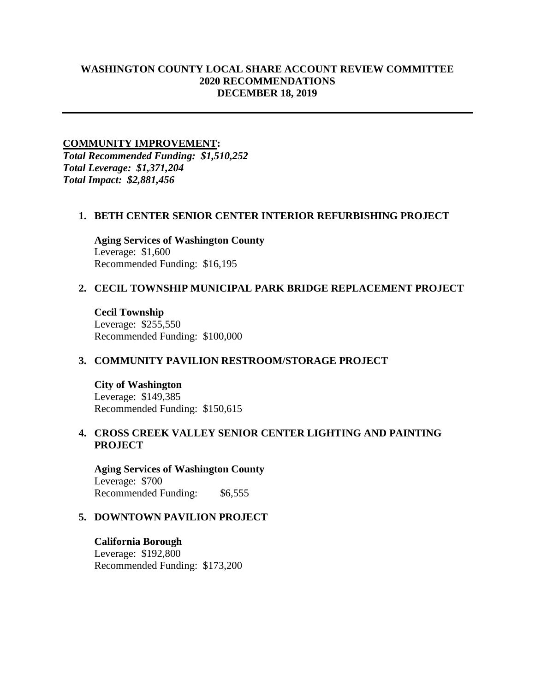# **WASHINGTON COUNTY LOCAL SHARE ACCOUNT REVIEW COMMITTEE 2020 RECOMMENDATIONS DECEMBER 18, 2019**

### **COMMUNITY IMPROVEMENT:**

*Total Recommended Funding: \$1,510,252 Total Leverage: \$1,371,204 Total Impact: \$2,881,456*

### **1. BETH CENTER SENIOR CENTER INTERIOR REFURBISHING PROJECT**

**Aging Services of Washington County** Leverage: \$1,600 Recommended Funding: \$16,195

### **2. CECIL TOWNSHIP MUNICIPAL PARK BRIDGE REPLACEMENT PROJECT**

**Cecil Township** Leverage: \$255,550 Recommended Funding: \$100,000

#### **3. COMMUNITY PAVILION RESTROOM/STORAGE PROJECT**

**City of Washington** Leverage: \$149,385 Recommended Funding: \$150,615

# **4. CROSS CREEK VALLEY SENIOR CENTER LIGHTING AND PAINTING PROJECT**

**Aging Services of Washington County** Leverage: \$700 Recommended Funding: \$6,555

#### **5. DOWNTOWN PAVILION PROJECT**

**California Borough** Leverage: \$192,800 Recommended Funding: \$173,200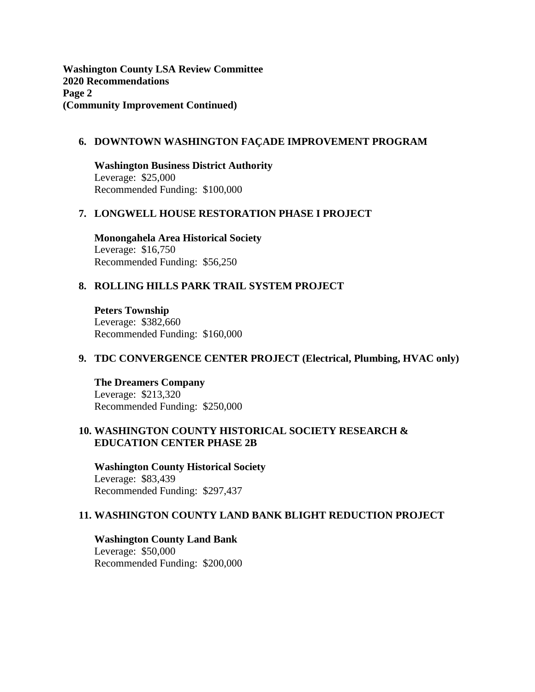**Washington County LSA Review Committee 2020 Recommendations Page 2 (Community Improvement Continued)**

#### **6. DOWNTOWN WASHINGTON FAÇADE IMPROVEMENT PROGRAM**

**Washington Business District Authority** Leverage: \$25,000 Recommended Funding: \$100,000

### **7. LONGWELL HOUSE RESTORATION PHASE I PROJECT**

**Monongahela Area Historical Society** Leverage: \$16,750 Recommended Funding: \$56,250

# **8. ROLLING HILLS PARK TRAIL SYSTEM PROJECT**

**Peters Township** Leverage: \$382,660 Recommended Funding: \$160,000

### **9. TDC CONVERGENCE CENTER PROJECT (Electrical, Plumbing, HVAC only)**

**The Dreamers Company** Leverage: \$213,320 Recommended Funding: \$250,000

### **10. WASHINGTON COUNTY HISTORICAL SOCIETY RESEARCH & EDUCATION CENTER PHASE 2B**

**Washington County Historical Society** Leverage: \$83,439 Recommended Funding: \$297,437

### **11. WASHINGTON COUNTY LAND BANK BLIGHT REDUCTION PROJECT**

**Washington County Land Bank** Leverage: \$50,000

Recommended Funding: \$200,000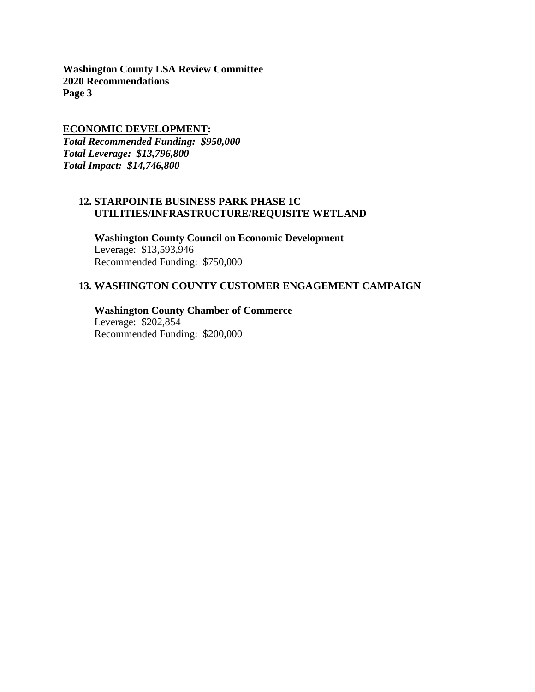**Washington County LSA Review Committee 2020 Recommendations Page 3**

### **ECONOMIC DEVELOPMENT:**

*Total Recommended Funding: \$950,000 Total Leverage: \$13,796,800 Total Impact: \$14,746,800*

# **12. STARPOINTE BUSINESS PARK PHASE 1C UTILITIES/INFRASTRUCTURE/REQUISITE WETLAND**

**Washington County Council on Economic Development** Leverage: \$13,593,946 Recommended Funding: \$750,000

# **13. WASHINGTON COUNTY CUSTOMER ENGAGEMENT CAMPAIGN**

**Washington County Chamber of Commerce** Leverage: \$202,854 Recommended Funding: \$200,000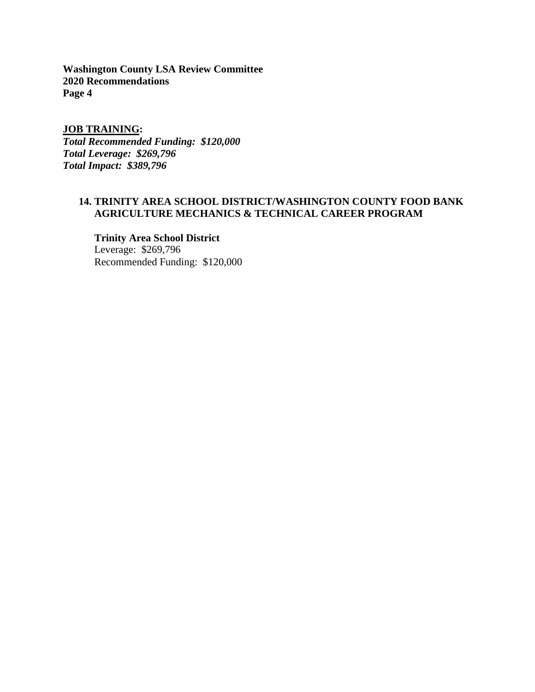**Washington County LSA Review Committee 2020 Recommendations Page 4**

### **JOB TRAINING:**

*Total Recommended Funding: \$120,000 Total Leverage: \$269,796 Total Impact: \$389,796*

# **14. TRINITY AREA SCHOOL DISTRICT/WASHINGTON COUNTY FOOD BANK AGRICULTURE MECHANICS & TECHNICAL CAREER PROGRAM**

# **Trinity Area School District**

Leverage: \$269,796 Recommended Funding: \$120,000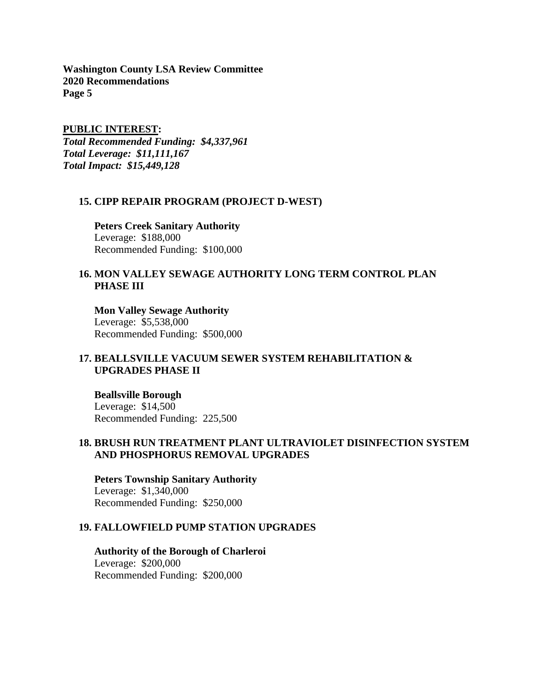**Washington County LSA Review Committee 2020 Recommendations Page 5**

**PUBLIC INTEREST:**

*Total Recommended Funding: \$4,337,961 Total Leverage: \$11,111,167 Total Impact: \$15,449,128*

#### **15. CIPP REPAIR PROGRAM (PROJECT D-WEST)**

**Peters Creek Sanitary Authority** Leverage: \$188,000 Recommended Funding: \$100,000

### **16. MON VALLEY SEWAGE AUTHORITY LONG TERM CONTROL PLAN PHASE III**

**Mon Valley Sewage Authority** Leverage: \$5,538,000 Recommended Funding: \$500,000

# **17. BEALLSVILLE VACUUM SEWER SYSTEM REHABILITATION & UPGRADES PHASE II**

**Beallsville Borough** Leverage: \$14,500 Recommended Funding: 225,500

# **18. BRUSH RUN TREATMENT PLANT ULTRAVIOLET DISINFECTION SYSTEM AND PHOSPHORUS REMOVAL UPGRADES**

**Peters Township Sanitary Authority** Leverage: \$1,340,000 Recommended Funding: \$250,000

### **19. FALLOWFIELD PUMP STATION UPGRADES**

**Authority of the Borough of Charleroi** Leverage: \$200,000 Recommended Funding: \$200,000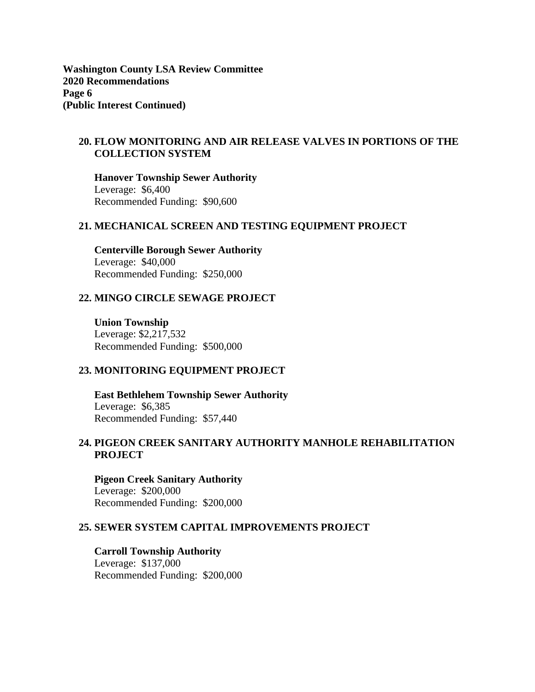**Washington County LSA Review Committee 2020 Recommendations Page 6 (Public Interest Continued)**

# **20. FLOW MONITORING AND AIR RELEASE VALVES IN PORTIONS OF THE COLLECTION SYSTEM**

**Hanover Township Sewer Authority** Leverage: \$6,400 Recommended Funding: \$90,600

### **21. MECHANICAL SCREEN AND TESTING EQUIPMENT PROJECT**

**Centerville Borough Sewer Authority** Leverage: \$40,000 Recommended Funding: \$250,000

### **22. MINGO CIRCLE SEWAGE PROJECT**

**Union Township** Leverage: \$2,217,532 Recommended Funding: \$500,000

#### **23. MONITORING EQUIPMENT PROJECT**

**East Bethlehem Township Sewer Authority** Leverage: \$6,385 Recommended Funding: \$57,440

# **24. PIGEON CREEK SANITARY AUTHORITY MANHOLE REHABILITATION PROJECT**

**Pigeon Creek Sanitary Authority** Leverage: \$200,000 Recommended Funding: \$200,000

### **25. SEWER SYSTEM CAPITAL IMPROVEMENTS PROJECT**

**Carroll Township Authority** Leverage: \$137,000 Recommended Funding: \$200,000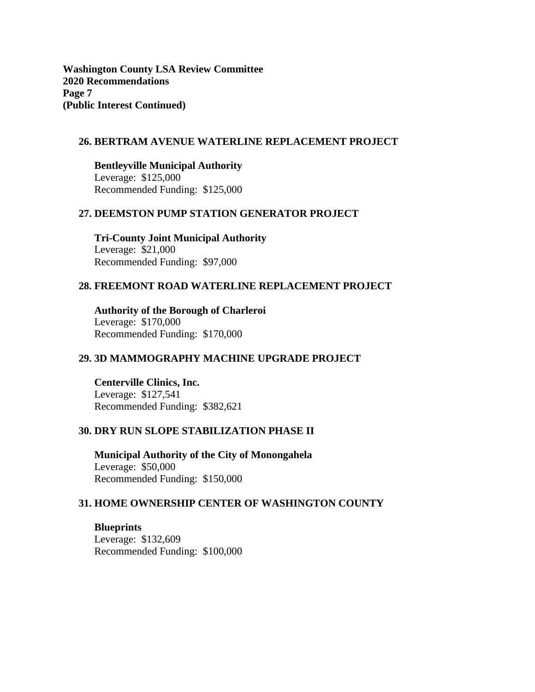**Washington County LSA Review Committee 2020 Recommendations Page 7 (Public Interest Continued)**

# **26. BERTRAM AVENUE WATERLINE REPLACEMENT PROJECT**

**Bentleyville Municipal Authority** Leverage: \$125,000 Recommended Funding: \$125,000

### **27. DEEMSTON PUMP STATION GENERATOR PROJECT**

**Tri-County Joint Municipal Authority** Leverage: \$21,000 Recommended Funding: \$97,000

### **28. FREEMONT ROAD WATERLINE REPLACEMENT PROJECT**

**Authority of the Borough of Charleroi** Leverage: \$170,000 Recommended Funding: \$170,000

#### **29. 3D MAMMOGRAPHY MACHINE UPGRADE PROJECT**

**Centerville Clinics, Inc.** Leverage: \$127,541 Recommended Funding: \$382,621

### **30. DRY RUN SLOPE STABILIZATION PHASE II**

**Municipal Authority of the City of Monongahela** Leverage: \$50,000 Recommended Funding: \$150,000

#### **31. HOME OWNERSHIP CENTER OF WASHINGTON COUNTY**

**Blueprints** Leverage: \$132,609 Recommended Funding: \$100,000